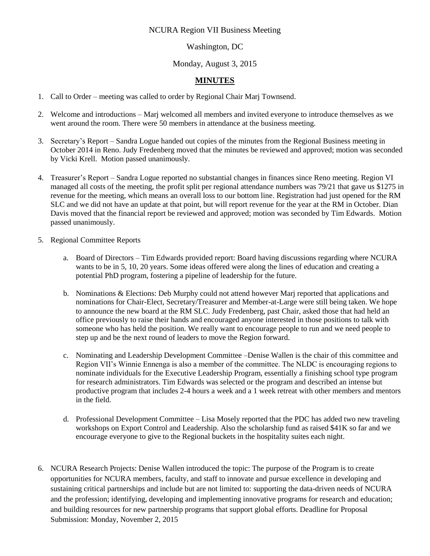## NCURA Region VII Business Meeting

## Washington, DC

## Monday, August 3, 2015

## **MINUTES**

- 1. Call to Order meeting was called to order by Regional Chair Marj Townsend.
- 2. Welcome and introductions Marj welcomed all members and invited everyone to introduce themselves as we went around the room. There were 50 members in attendance at the business meeting.
- 3. Secretary's Report Sandra Logue handed out copies of the minutes from the Regional Business meeting in October 2014 in Reno. Judy Fredenberg moved that the minutes be reviewed and approved; motion was seconded by Vicki Krell. Motion passed unanimously.
- 4. Treasurer's Report Sandra Logue reported no substantial changes in finances since Reno meeting. Region VI managed all costs of the meeting, the profit split per regional attendance numbers was 79/21 that gave us \$1275 in revenue for the meeting, which means an overall loss to our bottom line. Registration had just opened for the RM SLC and we did not have an update at that point, but will report revenue for the year at the RM in October. Dian Davis moved that the financial report be reviewed and approved; motion was seconded by Tim Edwards. Motion passed unanimously.
- 5. Regional Committee Reports
	- a. Board of Directors Tim Edwards provided report: Board having discussions regarding where NCURA wants to be in 5, 10, 20 years. Some ideas offered were along the lines of education and creating a potential PhD program, fostering a pipeline of leadership for the future.
	- b. Nominations & Elections: Deb Murphy could not attend however Marj reported that applications and nominations for Chair-Elect, Secretary/Treasurer and Member-at-Large were still being taken. We hope to announce the new board at the RM SLC. Judy Fredenberg, past Chair, asked those that had held an office previously to raise their hands and encouraged anyone interested in those positions to talk with someone who has held the position. We really want to encourage people to run and we need people to step up and be the next round of leaders to move the Region forward.
	- c. Nominating and Leadership Development Committee –Denise Wallen is the chair of this committee and Region VII's Winnie Ennenga is also a member of the committee. The NLDC is encouraging regions to nominate individuals for the Executive Leadership Program, essentially a finishing school type program for research administrators. Tim Edwards was selected or the program and described an intense but productive program that includes 2-4 hours a week and a 1 week retreat with other members and mentors in the field.
	- d. Professional Development Committee Lisa Mosely reported that the PDC has added two new traveling workshops on Export Control and Leadership. Also the scholarship fund as raised \$41K so far and we encourage everyone to give to the Regional buckets in the hospitality suites each night.
- 6. NCURA Research Projects: Denise Wallen introduced the topic: The purpose of the Program is to create opportunities for NCURA members, faculty, and staff to innovate and pursue excellence in developing and sustaining critical partnerships and include but are not limited to: supporting the data-driven needs of NCURA and the profession; identifying, developing and implementing innovative programs for research and education; and building resources for new partnership programs that support global efforts. Deadline for Proposal Submission: Monday, November 2, 2015